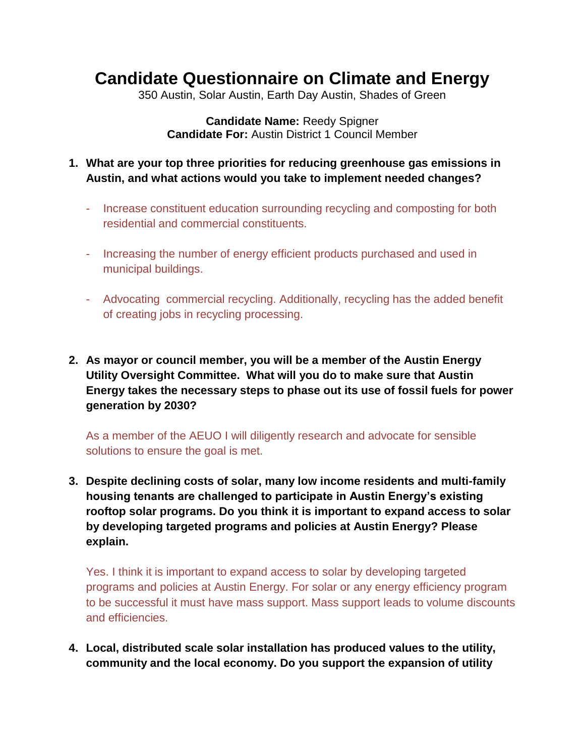## **Candidate Questionnaire on Climate and Energy**

350 Austin, Solar Austin, Earth Day Austin, Shades of Green

**Candidate Name:** Reedy Spigner **Candidate For:** Austin District 1 Council Member

- **1. What are your top three priorities for reducing greenhouse gas emissions in Austin, and what actions would you take to implement needed changes?**
	- Increase constituent education surrounding recycling and composting for both residential and commercial constituents.
	- Increasing the number of energy efficient products purchased and used in municipal buildings.
	- Advocating commercial recycling. Additionally, recycling has the added benefit of creating jobs in recycling processing.
- **2. As mayor or council member, you will be a member of the Austin Energy Utility Oversight Committee. What will you do to make sure that Austin Energy takes the necessary steps to phase out its use of fossil fuels for power generation by 2030?**

As a member of the AEUO I will diligently research and advocate for sensible solutions to ensure the goal is met.

**3. Despite declining costs of solar, many low income residents and multi-family housing tenants are challenged to participate in Austin Energy's existing rooftop solar programs. Do you think it is important to expand access to solar by developing targeted programs and policies at Austin Energy? Please explain.**

Yes. I think it is important to expand access to solar by developing targeted programs and policies at Austin Energy. For solar or any energy efficiency program to be successful it must have mass support. Mass support leads to volume discounts and efficiencies.

**4. Local, distributed scale solar installation has produced values to the utility, community and the local economy. Do you support the expansion of utility**